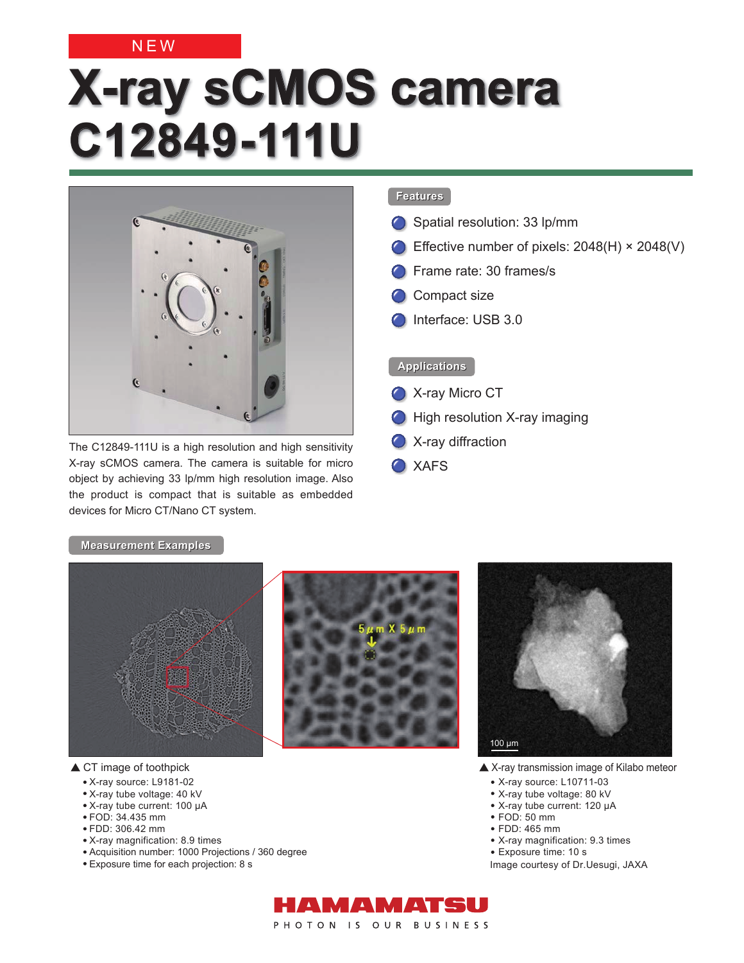### NEW

# **X-ray sCMOS camera C12849-111U**



The C12849-111U is a high resolution and high sensitivity X-ray sCMOS camera. The camera is suitable for micro object by achieving 33 lp/mm high resolution image. Also the product is compact that is suitable as embedded devices for Micro CT/Nano CT system.

#### **Features Features**

- Spatial resolution: 33 lp/mm
- Effective number of pixels: 2048(H) × 2048(V)
- **C** Frame rate: 30 frames/s
- Compact size
- Interface: USB 3.0

#### **Applications Applications**

- **C** X-ray Micro CT
- **C** High resolution X-ray imaging
- **C** X-ray diffraction
- XAFS

#### **Measurement Examples Examples**



▲ CT image of toothpick

- X-ray source: L9181-02
- X-ray tube voltage: 40 kV
- X-ray tube current: 100 μA
- FOD: 34.435 mm
- FDD: 306.42 mm
- X-ray magnification: 8.9 times
- Acquisition number: 1000 Projections / 360 degree
- Exposure time for each projection: 8 s



- ▲ X-ray transmission image of Kilabo meteor
	- X-ray source: L10711-03
	- X-ray tube voltage: 80 kV
	- X-ray tube current: 120 μA
	- FOD: 50 mm
	- FDD: 465 mm
	- X-ray magnification: 9.3 times
	- Exposure time: 10 s

Image courtesy of Dr.Uesugi, JAXA